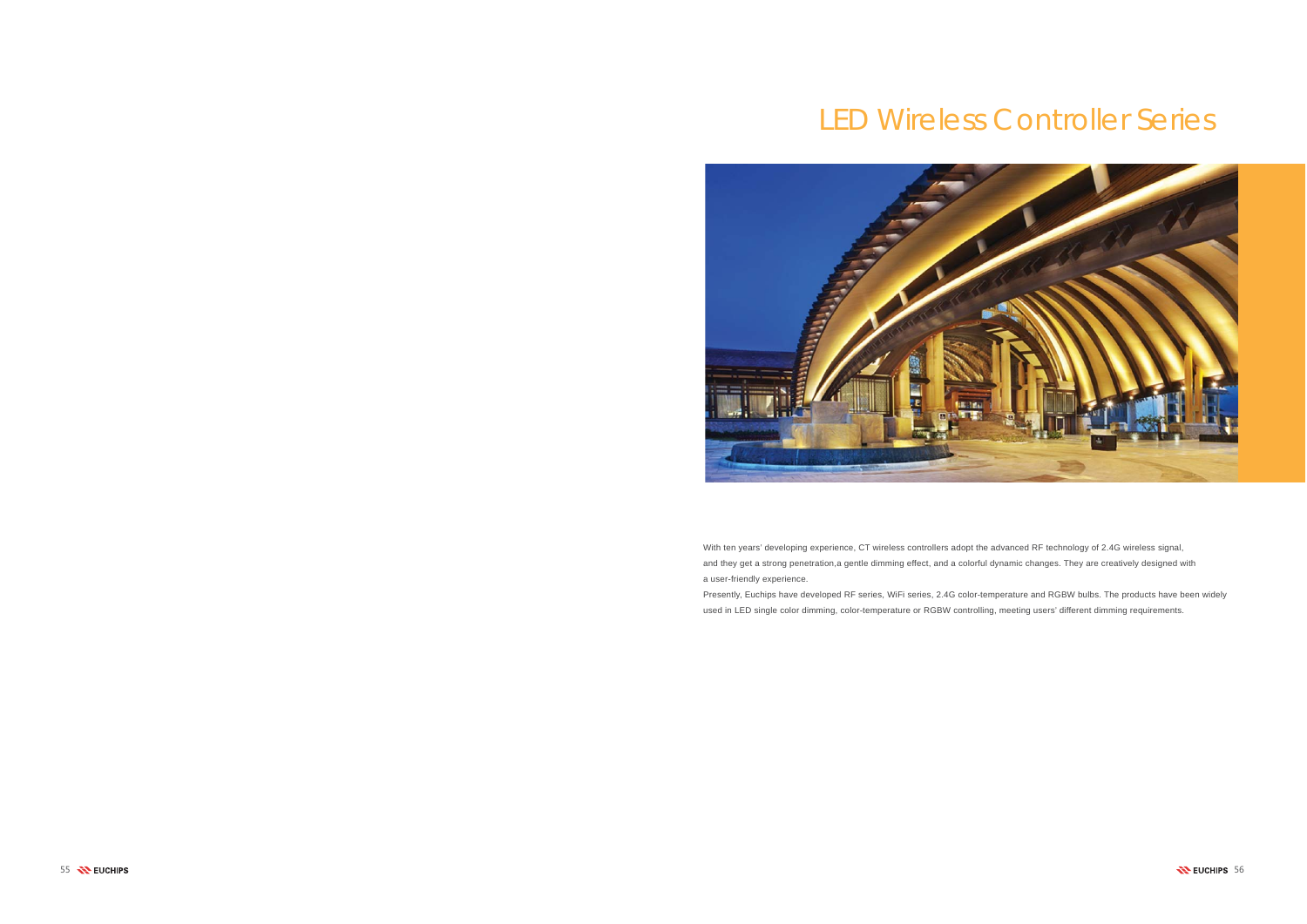# LED Wireless Controller Series



With ten years' developing experience, CT wireless controllers adopt the advanced RF technology of 2.4G wireless signal, and they get a strong penetration,a gentle dimming effect, and a colorful dynamic changes. They are creatively designed with a user-friendly experience.

Presently, Euchips have developed RF series, WiFi series, 2.4G color-temperature and RGBW bulbs. The products have been widely used in LED single color dimming, color-temperature or RGBW controlling, meeting users' different dimming requirements.

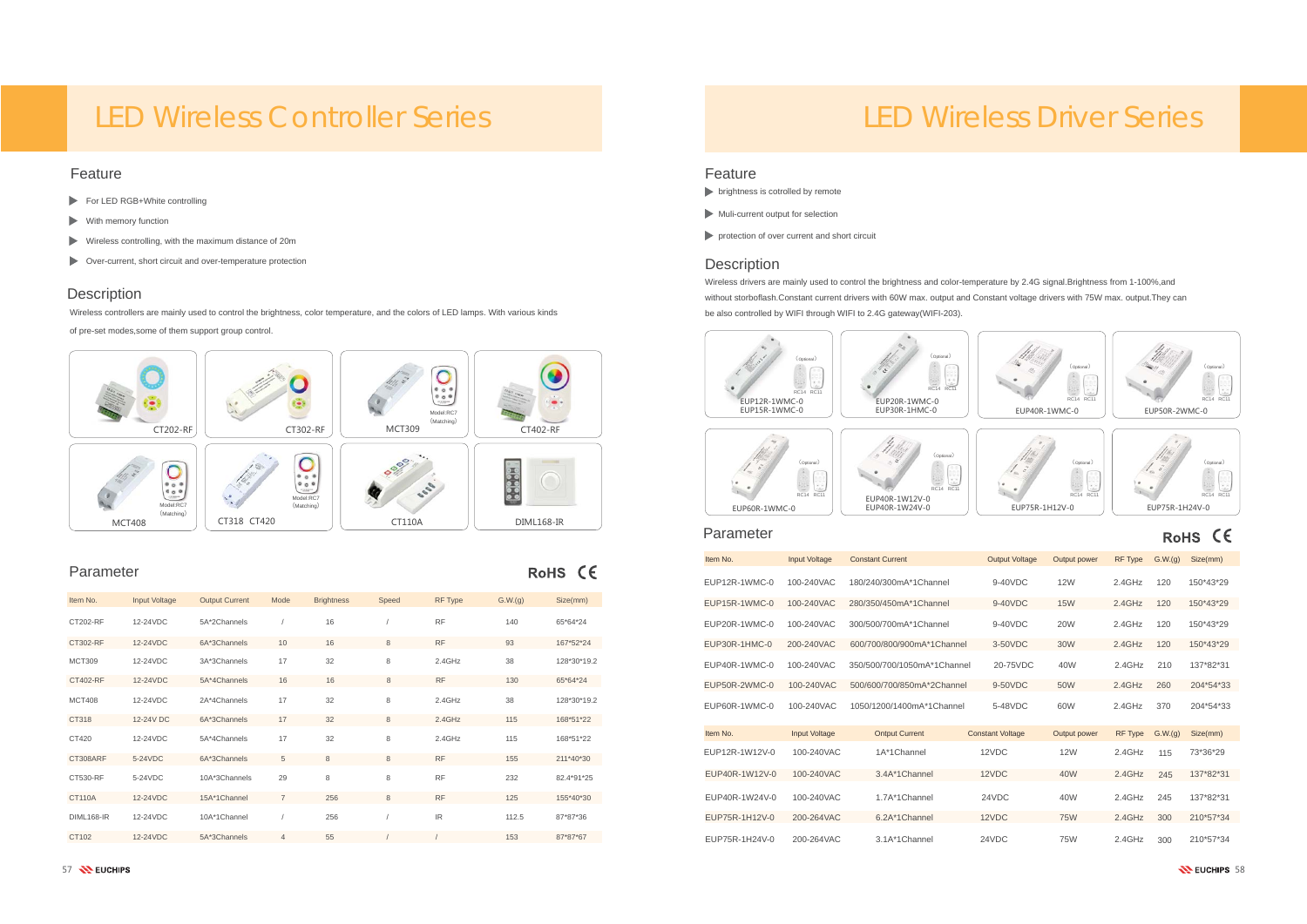| Item No.          | Input Voltage | <b>Output Current</b> | Mode           | <b>Brightness</b> | Speed | <b>RF Type</b> | G.W.(q) | Size(mm)    |
|-------------------|---------------|-----------------------|----------------|-------------------|-------|----------------|---------|-------------|
| CT202-RF          | 12-24VDC      | 5A*2Channels          |                | 16                |       | <b>RF</b>      | 140     | 65*64*24    |
| CT302-RF          | 12-24VDC      | 6A*3Channels          | 10             | 16                | 8     | <b>RF</b>      | 93      | 167*52*24   |
| <b>MCT309</b>     | 12-24VDC      | 3A*3Channels          | 17             | 32                | 8     | 2.4GHz         | 38      | 128*30*19.2 |
| CT402-RF          | 12-24VDC      | 5A*4Channels          | 16             | 16                | 8     | <b>RF</b>      | 130     | 65*64*24    |
| <b>MCT408</b>     | 12-24VDC      | 2A*4Channels          | 17             | 32                | 8     | 2.4GHz         | 38      | 128*30*19.2 |
| CT318             | 12-24V DC     | 6A*3Channels          | 17             | 32                | 8     | 2.4GHz         | 115     | 168*51*22   |
| CT420             | 12-24VDC      | 5A*4Channels          | 17             | 32                | 8     | 2.4GHz         | 115     | 168*51*22   |
| CT308ARF          | 5-24VDC       | 6A*3Channels          | 5              | 8                 | 8     | <b>RF</b>      | 155     | 211*40*30   |
| CT530-RF          | 5-24VDC       | 10A*3Channels         | 29             | 8                 | 8     | <b>RF</b>      | 232     | 82.4*91*25  |
| <b>CT110A</b>     | 12-24VDC      | 15A*1Channel          | $\overline{7}$ | 256               | 8     | <b>RF</b>      | 125     | 155*40*30   |
| <b>DIML168-IR</b> | 12-24VDC      | 10A*1Channel          |                | 256               |       | IR.            | 112.5   | 87*87*36    |
| CT102             | 12-24VDC      | 5A*3Channels          | $\overline{4}$ | 55                |       |                | 153     | 87*87*67    |

- 
- 

## **Description**

- For LED RGB+White controlling
- With memory function
- Wireless controlling, with the maximum distance of 20m
- Over-current, short circuit and over-temperature protection

### Feature

### Parameter



# LED Wireless Controller Series

Wireless controllers are mainly used to control the brightness, color temperature, and the colors of LED lamps. With various kinds

of pre-set modes,some of them support group control.

#### Feature

- **brightness is cotrolled by remote**
- Muli-current output for selection
- **protection of over current and short circuit**

### **Description**

### Parameter

RoHS CE



# LED Wireless Driver Series

# RoHS CE

7 SENCHIPS 58 **NEUCHIPS 58** 

| Item No.       | <b>Input Voltage</b> | <b>Constant Current</b>     | <b>Output Voltage</b>   | Output power | <b>RF Type</b> | G.W.(g) | Size(mm)  |
|----------------|----------------------|-----------------------------|-------------------------|--------------|----------------|---------|-----------|
| EUP12R-1WMC-0  | 100-240VAC           | 180/240/300mA*1Channel      | $9-40VDC$               | <b>12W</b>   | 2.4GHz         | 120     | 150*43*29 |
| EUP15R-1WMC-0  | 100-240VAC           | 280/350/450mA*1Channel      | 9-40VDC                 | <b>15W</b>   | $2.4$ GHz      | 120     | 150*43*29 |
| EUP20R-1WMC-0  | 100-240VAC           | 300/500/700mA*1Channel      | $9-40VDC$               | <b>20W</b>   | 2.4GHz         | 120     | 150*43*29 |
| EUP30R-1HMC-0  | 200-240VAC           | 600/700/800/900mA*1Channel  | 3-50VDC                 | 30W          | $2.4$ GHz      | 120     | 150*43*29 |
| EUP40R-1WMC-0  | 100-240VAC           | 350/500/700/1050mA*1Channel | 20-75VDC                | 40W          | 2.4GHz         | 210     | 137*82*31 |
| EUP50R-2WMC-0  | 100-240VAC           | 500/600/700/850mA*2Channel  | 9-50VDC                 | 50W          | $2.4$ GHz      | 260     | 204*54*33 |
| EUP60R-1WMC-0  | 100-240VAC           | 1050/1200/1400mA*1Channel   | 5-48VDC                 | 60W          | $2.4$ GHz      | 370     | 204*54*33 |
| Item No.       | <b>Input Voltage</b> | <b>Ontput Current</b>       | <b>Constant Voltage</b> | Output power | <b>RF Type</b> | G.W.(g) | Size(mm)  |
| EUP12R-1W12V-0 | 100-240VAC           | 1A*1Channel                 | 12VDC                   | <b>12W</b>   | $2.4$ GHz      | 115     | 73*36*29  |
| EUP40R-1W12V-0 | 100-240VAC           | 3.4A*1Channel               | 12VDC                   | 40W          | $2.4$ GHz      | 245     | 137*82*31 |
| EUP40R-1W24V-0 | 100-240VAC           | 1.7A*1Channel               | 24VDC                   | 40W          | $2.4$ GHz      | 245     | 137*82*31 |
| EUP75R-1H12V-0 | 200-264VAC           | 6.2A*1Channel               | 12VDC                   | <b>75W</b>   | $2.4$ GHz      | 300     | 210*57*34 |
| EUP75R-1H24V-0 | 200-264VAC           | 3.1A*1Channel               | 24VDC                   | <b>75W</b>   | $2.4$ GHz      | 300     | 210*57*34 |

Wireless drivers are mainly used to control the brightness and color-temperature by 2.4G signal.Brightness from 1-100%,and without storboflash.Constant current drivers with 60W max. output and Constant voltage drivers with 75W max. output.They can be also controlled by WIFI through WIFI to 2.4G gateway(WIFI-203).